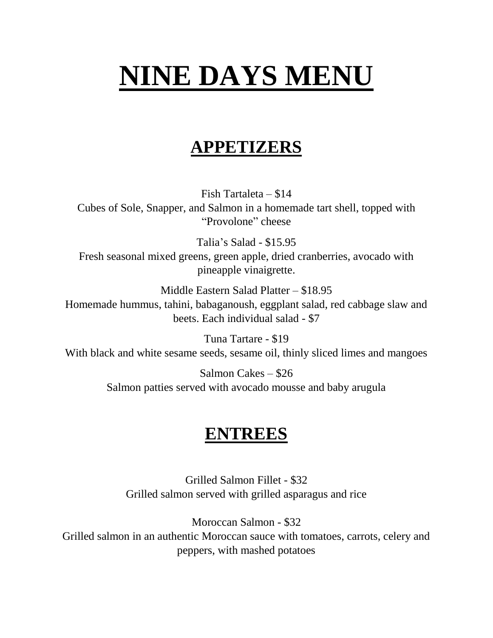## **NINE DAYS MENU**

## **APPETIZERS**

Fish Tartaleta – \$14 Cubes of Sole, Snapper, and Salmon in a homemade tart shell, topped with "Provolone" cheese

Talia's Salad - \$15.95 Fresh seasonal mixed greens, green apple, dried cranberries, avocado with pineapple vinaigrette.

Middle Eastern Salad Platter – \$18.95 Homemade hummus, tahini, babaganoush, eggplant salad, red cabbage slaw and beets. Each individual salad - \$7

Tuna Tartare - \$19 With black and white sesame seeds, sesame oil, thinly sliced limes and mangoes

> Salmon Cakes – \$26 Salmon patties served with avocado mousse and baby arugula

## **ENTREES**

Grilled Salmon Fillet - \$32 Grilled salmon served with grilled asparagus and rice

Moroccan Salmon - \$32 Grilled salmon in an authentic Moroccan sauce with tomatoes, carrots, celery and peppers, with mashed potatoes